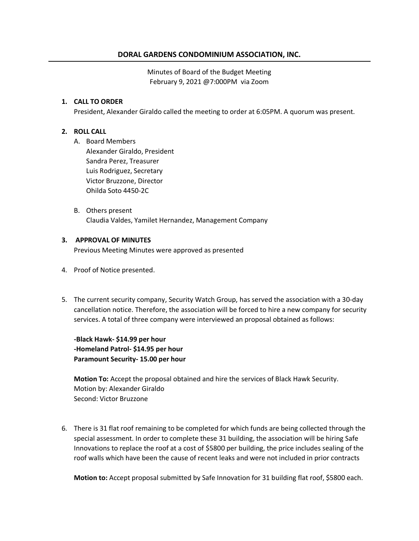## **DORAL GARDENS CONDOMINIUM ASSOCIATION, INC.**

Minutes of Board of the Budget Meeting February 9, 2021 @7:000PM via Zoom

#### **1. CALL TO ORDER**

President, Alexander Giraldo called the meeting to order at 6:05PM. A quorum was present.

### **2. ROLL CALL**

A. Board Members

Alexander Giraldo, President Sandra Perez, Treasurer Luis Rodriguez, Secretary Victor Bruzzone, Director Ohilda Soto 4450-2C

B. Others present Claudia Valdes, Yamilet Hernandez, Management Company

#### **3. APPROVAL OF MINUTES**

Previous Meeting Minutes were approved as presented

- 4. Proof of Notice presented.
- 5. The current security company, Security Watch Group, has served the association with a 30-day cancellation notice. Therefore, the association will be forced to hire a new company for security services. A total of three company were interviewed an proposal obtained as follows:

**-Black Hawk- \$14.99 per hour -Homeland Patrol- \$14.95 per hour Paramount Security- 15.00 per hour**

**Motion To:** Accept the proposal obtained and hire the services of Black Hawk Security. Motion by: Alexander Giraldo Second: Victor Bruzzone

6. There is 31 flat roof remaining to be completed for which funds are being collected through the special assessment. In order to complete these 31 building, the association will be hiring Safe Innovations to replace the roof at a cost of \$5800 per building, the price includes sealing of the roof walls which have been the cause of recent leaks and were not included in prior contracts

**Motion to:** Accept proposal submitted by Safe Innovation for 31 building flat roof, \$5800 each.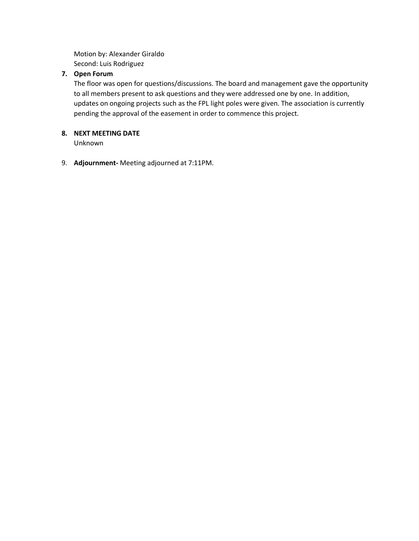Motion by: Alexander Giraldo Second: Luis Rodriguez

### **7. Open Forum**

The floor was open for questions/discussions. The board and management gave the opportunity to all members present to ask questions and they were addressed one by one. In addition, updates on ongoing projects such as the FPL light poles were given. The association is currently pending the approval of the easement in order to commence this project.

## **8. NEXT MEETING DATE**

Unknown

9. **Adjournment-** Meeting adjourned at 7:11PM.